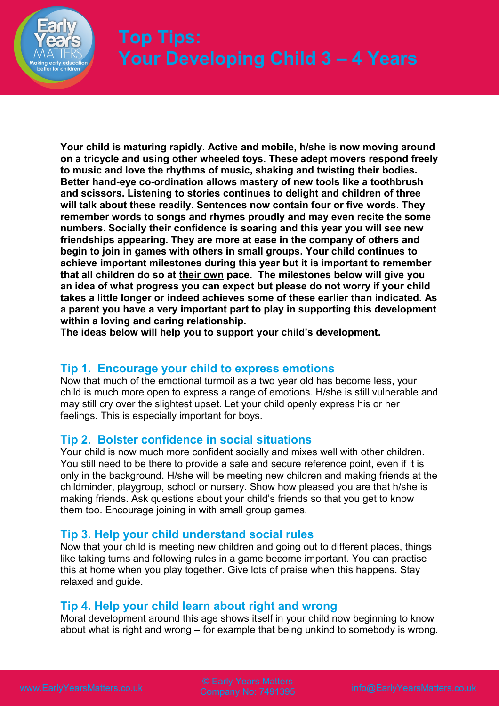

# **Top Tips: Your Developing Child 3 – 4 Years**

**Your child is maturing rapidly. Active and mobile, h/she is now moving around on a tricycle and using other wheeled toys. These adept movers respond freely to music and love the rhythms of music, shaking and twisting their bodies. Better hand-eye co-ordination allows mastery of new tools like a toothbrush and scissors. Listening to stories continues to delight and children of three will talk about these readily. Sentences now contain four or five words. They remember words to songs and rhymes proudly and may even recite the some numbers. Socially their confidence is soaring and this year you will see new friendships appearing. They are more at ease in the company of others and begin to join in games with others in small groups. Your child continues to achieve important milestones during this year but it is important to remember that all children do so at their own pace. The milestones below will give you an idea of what progress you can expect but please do not worry if your child takes a little longer or indeed achieves some of these earlier than indicated. As a parent you have a very important part to play in supporting this development within a loving and caring relationship.** 

**The ideas below will help you to support your child's development.**

## **Tip 1. Encourage your child to express emotions**

Now that much of the emotional turmoil as a two year old has become less, your child is much more open to express a range of emotions. H/she is still vulnerable and may still cry over the slightest upset. Let your child openly express his or her feelings. This is especially important for boys.

## **Tip 2. Bolster confidence in social situations**

Your child is now much more confident socially and mixes well with other children. You still need to be there to provide a safe and secure reference point, even if it is only in the background. H/she will be meeting new children and making friends at the childminder, playgroup, school or nursery. Show how pleased you are that h/she is making friends. Ask questions about your child's friends so that you get to know them too. Encourage joining in with small group games.

## **Tip 3. Help your child understand social rules**

Now that your child is meeting new children and going out to different places, things like taking turns and following rules in a game become important. You can practise this at home when you play together. Give lots of praise when this happens. Stay relaxed and guide.

## **Tip 4. Help your child learn about right and wrong**

Moral development around this age shows itself in your child now beginning to know about what is right and wrong – for example that being unkind to somebody is wrong.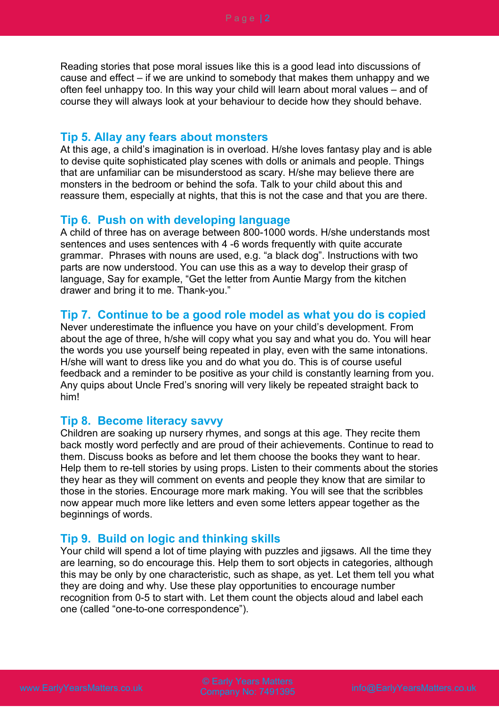Reading stories that pose moral issues like this is a good lead into discussions of cause and effect – if we are unkind to somebody that makes them unhappy and we often feel unhappy too. In this way your child will learn about moral values – and of course they will always look at your behaviour to decide how they should behave.

#### **Tip 5. Allay any fears about monsters**

At this age, a child's imagination is in overload. H/she loves fantasy play and is able to devise quite sophisticated play scenes with dolls or animals and people. Things that are unfamiliar can be misunderstood as scary. H/she may believe there are monsters in the bedroom or behind the sofa. Talk to your child about this and reassure them, especially at nights, that this is not the case and that you are there.

### **Tip 6. Push on with developing language**

A child of three has on average between 800-1000 words. H/she understands most sentences and uses sentences with 4 -6 words frequently with quite accurate grammar. Phrases with nouns are used, e.g. "a black dog". Instructions with two parts are now understood. You can use this as a way to develop their grasp of language, Say for example, "Get the letter from Auntie Margy from the kitchen drawer and bring it to me. Thank-you."

## **Tip 7. Continue to be a good role model as what you do is copied**

Never underestimate the influence you have on your child's development. From about the age of three, h/she will copy what you say and what you do. You will hear the words you use yourself being repeated in play, even with the same intonations. H/she will want to dress like you and do what you do. This is of course useful feedback and a reminder to be positive as your child is constantly learning from you. Any quips about Uncle Fred's snoring will very likely be repeated straight back to him!

#### **Tip 8. Become literacy savvy**

Children are soaking up nursery rhymes, and songs at this age. They recite them back mostly word perfectly and are proud of their achievements. Continue to read to them. Discuss books as before and let them choose the books they want to hear. Help them to re-tell stories by using props. Listen to their comments about the stories they hear as they will comment on events and people they know that are similar to those in the stories. Encourage more mark making. You will see that the scribbles now appear much more like letters and even some letters appear together as the beginnings of words.

## **Tip 9. Build on logic and thinking skills**

Your child will spend a lot of time playing with puzzles and jigsaws. All the time they are learning, so do encourage this. Help them to sort objects in categories, although this may be only by one characteristic, such as shape, as yet. Let them tell you what they are doing and why. Use these play opportunities to encourage number recognition from 0-5 to start with. Let them count the objects aloud and label each one (called "one-to-one correspondence").